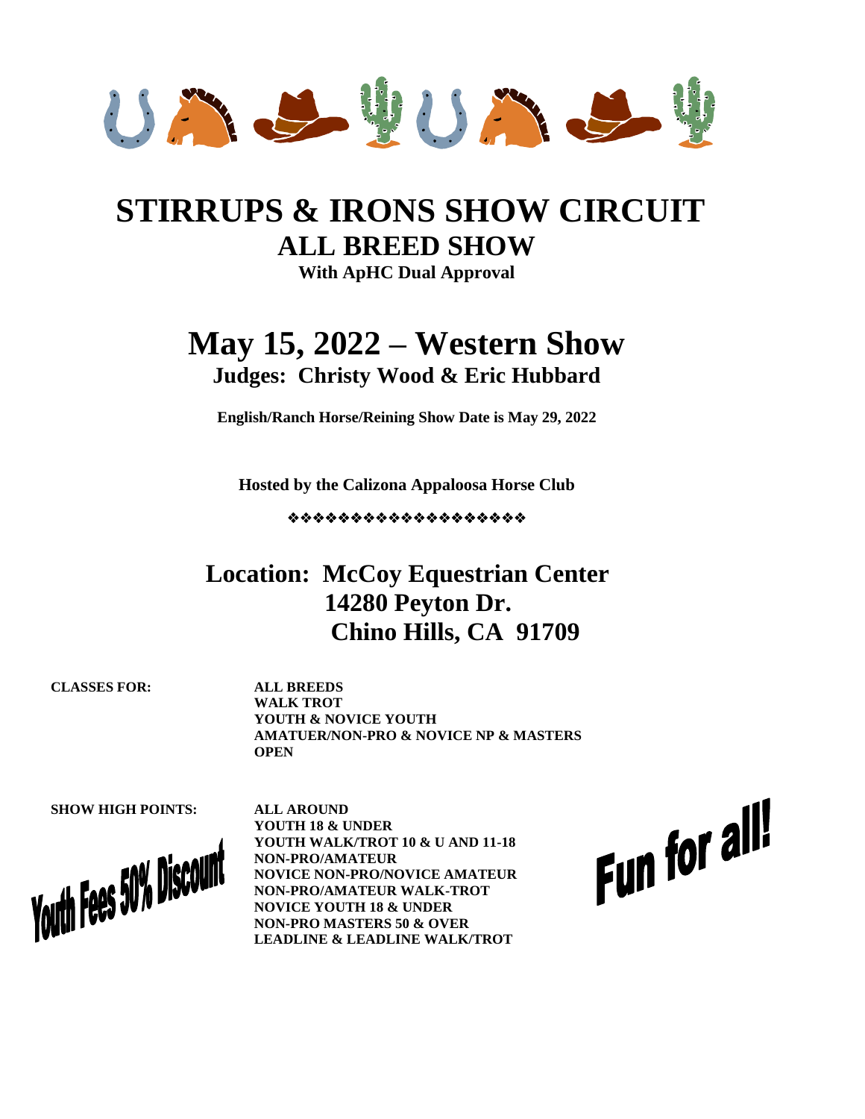

# **STIRRUPS & IRONS SHOW CIRCUIT ALL BREED SHOW**

**With ApHC Dual Approval**

# **May 15, 2022 – Western Show Judges: Christy Wood & Eric Hubbard**

**English/Ranch Horse/Reining Show Date is May 29, 2022**

**Hosted by the Calizona Appaloosa Horse Club**

### \*\*\*\*\*\*\*\*\*\*\*\*\*\*\*\*\*\*\*

## **Location: McCoy Equestrian Center 14280 Peyton Dr. Chino Hills, CA 91709**

**CLASSES FOR: ALL BREEDS**

**WALK TROT YOUTH & NOVICE YOUTH AMATUER/NON-PRO & NOVICE NP & MASTERS OPEN**

**SHOW HIGH POINTS: ALL AROUND**



**YOUTH 18 & UNDER YOUTH WALK/TROT 10 & U AND 11-18 NON-PRO/AMATEUR NOVICE NON-PRO/NOVICE AMATEUR NON-PRO/AMATEUR WALK-TROT NOVICE YOUTH 18 & UNDER NON-PRO MASTERS 50 & OVER LEADLINE & LEADLINE WALK/TROT**

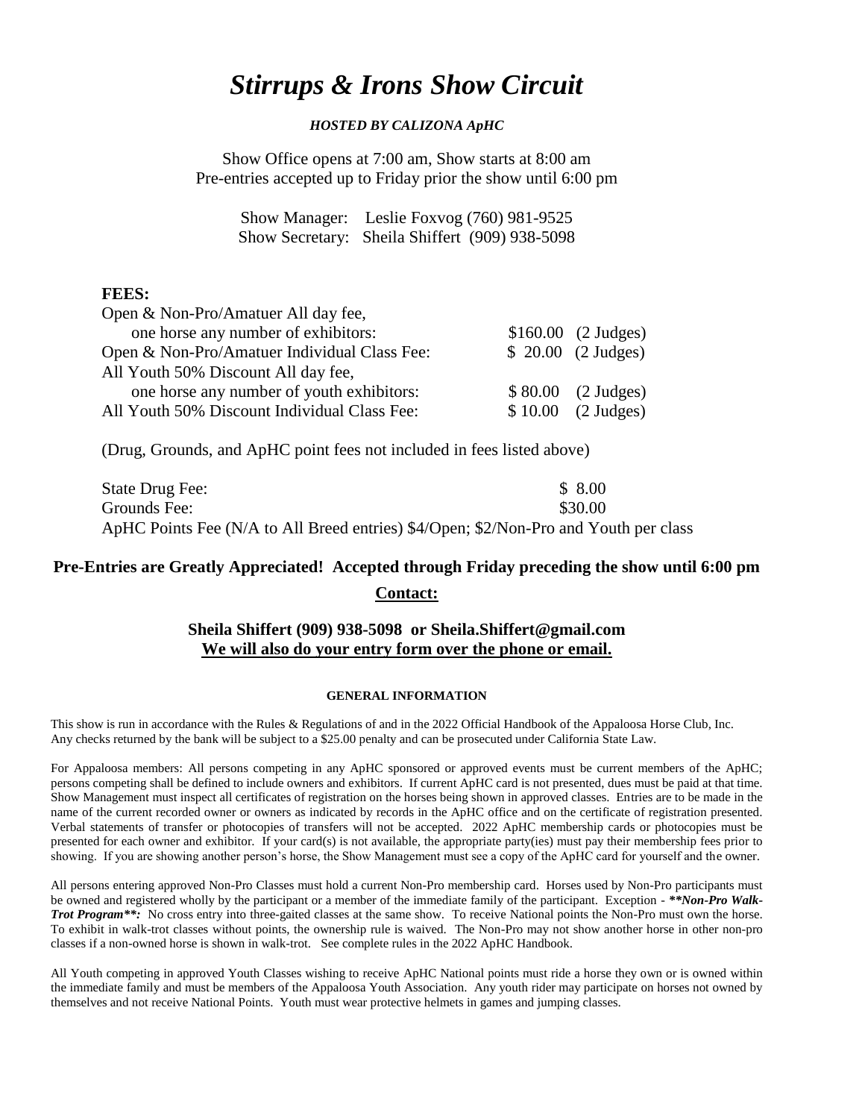## *Stirrups & Irons Show Circuit*

#### *HOSTED BY CALIZONA ApHC*

Show Office opens at 7:00 am, Show starts at 8:00 am Pre-entries accepted up to Friday prior the show until 6:00 pm

Show Manager: Leslie Foxvog (760) 981-9525 Show Secretary: Sheila Shiffert (909) 938-5098

#### **FEES:**

| Open & Non-Pro/Amatuer All day fee,          |                                    |
|----------------------------------------------|------------------------------------|
| one horse any number of exhibitors:          | $$160.00 \quad (2 \text{ Judges})$ |
| Open & Non-Pro/Amatuer Individual Class Fee: | \$20.00 (2 Judges)                 |
| All Youth 50% Discount All day fee,          |                                    |
| one horse any number of youth exhibitors:    | $$80.00 \quad (2 \text{ Judges})$  |
| All Youth 50% Discount Individual Class Fee: | $$10.00$ $(2 \text{ Judges})$      |

(Drug, Grounds, and ApHC point fees not included in fees listed above)

State Drug Fee: \$ 8.00 Grounds Fee: \$30.00 ApHC Points Fee (N/A to All Breed entries) \$4/Open; \$2/Non-Pro and Youth per class

# **Pre-Entries are Greatly Appreciated! Accepted through Friday preceding the show until 6:00 pm**

#### **Contact:**

#### **Sheila Shiffert (909) 938-5098 or Sheila.Shiffert@gmail.com We will also do your entry form over the phone or email.**

#### **GENERAL INFORMATION**

This show is run in accordance with the Rules & Regulations of and in the 2022 Official Handbook of the Appaloosa Horse Club, Inc. Any checks returned by the bank will be subject to a \$25.00 penalty and can be prosecuted under California State Law.

For Appaloosa members: All persons competing in any ApHC sponsored or approved events must be current members of the ApHC; persons competing shall be defined to include owners and exhibitors. If current ApHC card is not presented, dues must be paid at that time. Show Management must inspect all certificates of registration on the horses being shown in approved classes. Entries are to be made in the name of the current recorded owner or owners as indicated by records in the ApHC office and on the certificate of registration presented. Verbal statements of transfer or photocopies of transfers will not be accepted. 2022 ApHC membership cards or photocopies must be presented for each owner and exhibitor. If your card(s) is not available, the appropriate party(ies) must pay their membership fees prior to showing. If you are showing another person's horse, the Show Management must see a copy of the ApHC card for yourself and the owner.

All persons entering approved Non-Pro Classes must hold a current Non-Pro membership card. Horses used by Non-Pro participants must be owned and registered wholly by the participant or a member of the immediate family of the participant. Exception - *\*\*Non-Pro Walk-Trot Program*<sup>\*\*</sup>: No cross entry into three-gaited classes at the same show. To receive National points the Non-Pro must own the horse. To exhibit in walk-trot classes without points, the ownership rule is waived. The Non-Pro may not show another horse in other non-pro classes if a non-owned horse is shown in walk-trot. See complete rules in the 2022 ApHC Handbook.

All Youth competing in approved Youth Classes wishing to receive ApHC National points must ride a horse they own or is owned within the immediate family and must be members of the Appaloosa Youth Association. Any youth rider may participate on horses not owned by themselves and not receive National Points. Youth must wear protective helmets in games and jumping classes.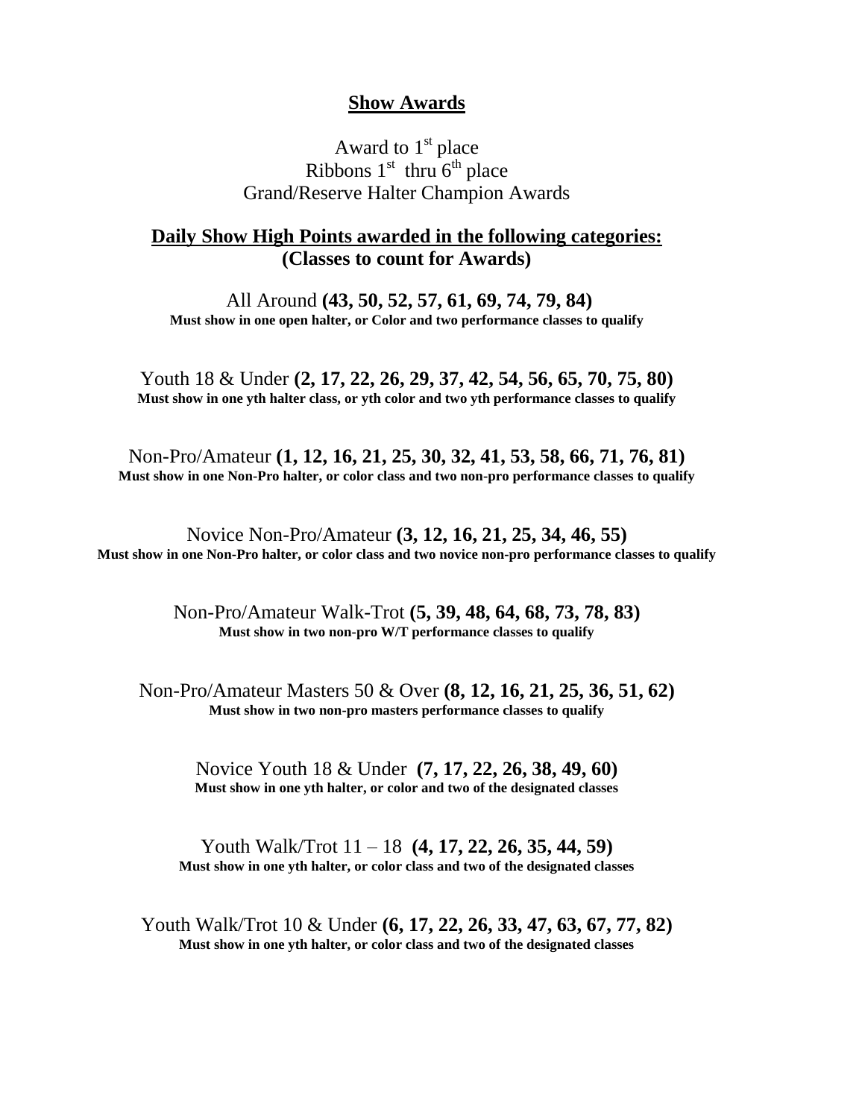### **Show Awards**

Award to  $1<sup>st</sup>$  place Ribbons  $1<sup>st</sup>$  thru  $6<sup>th</sup>$  place Grand/Reserve Halter Champion Awards

#### **Daily Show High Points awarded in the following categories: (Classes to count for Awards)**

All Around **(43, 50, 52, 57, 61, 69, 74, 79, 84) Must show in one open halter, or Color and two performance classes to qualify**

Youth 18 & Under **(2, 17, 22, 26, 29, 37, 42, 54, 56, 65, 70, 75, 80) Must show in one yth halter class, or yth color and two yth performance classes to qualify**

Non-Pro/Amateur **(1, 12, 16, 21, 25, 30, 32, 41, 53, 58, 66, 71, 76, 81) Must show in one Non-Pro halter, or color class and two non-pro performance classes to qualify**

Novice Non-Pro/Amateur **(3, 12, 16, 21, 25, 34, 46, 55) Must show in one Non-Pro halter, or color class and two novice non-pro performance classes to qualify**

> Non-Pro/Amateur Walk-Trot **(5, 39, 48, 64, 68, 73, 78, 83) Must show in two non-pro W/T performance classes to qualify**

Non-Pro/Amateur Masters 50 & Over **(8, 12, 16, 21, 25, 36, 51, 62) Must show in two non-pro masters performance classes to qualify**

> Novice Youth 18 & Under **(7, 17, 22, 26, 38, 49, 60) Must show in one yth halter, or color and two of the designated classes**

Youth Walk/Trot 11 – 18 **(4, 17, 22, 26, 35, 44, 59) Must show in one yth halter, or color class and two of the designated classes**

Youth Walk/Trot 10 & Under **(6, 17, 22, 26, 33, 47, 63, 67, 77, 82) Must show in one yth halter, or color class and two of the designated classes**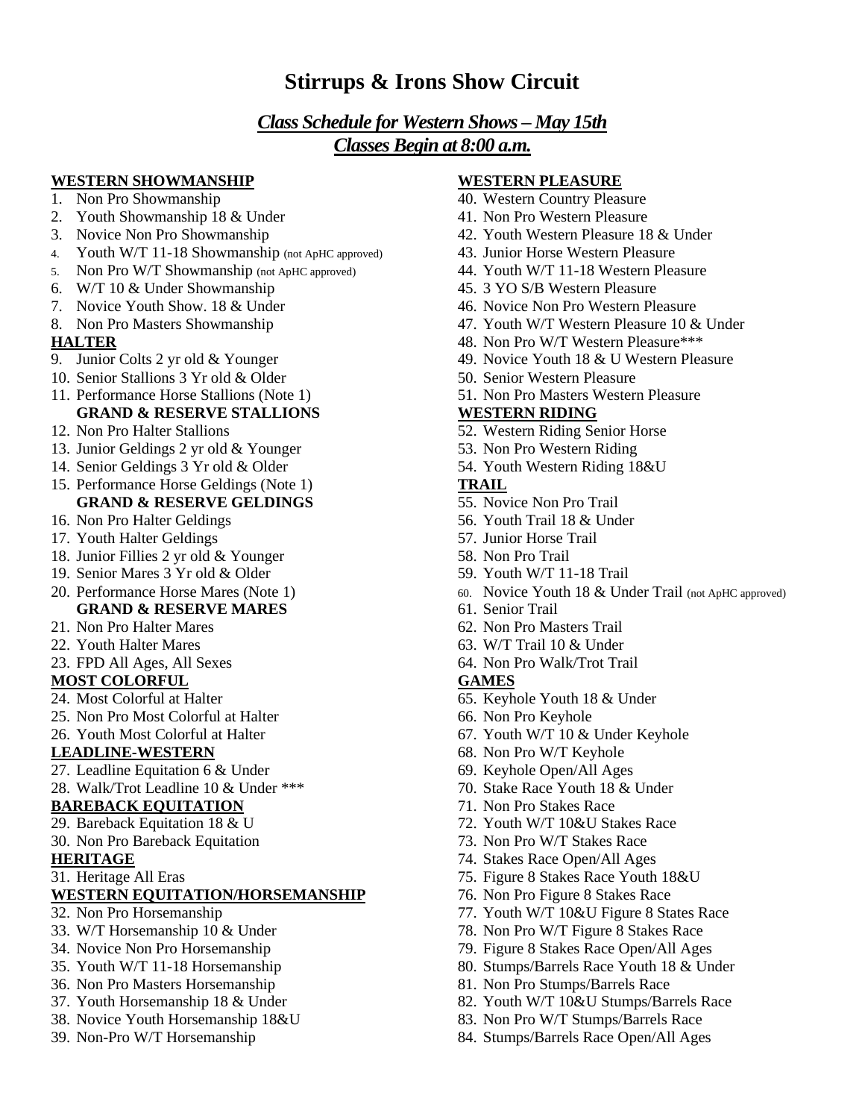## **Stirrups & Irons Show Circuit**

### *Class Schedule for Western Shows – May 15th Classes Begin at 8:00 a.m.*

#### **WESTERN SHOWMANSHIP**

- 1. Non Pro Showmanship
- 2. Youth Showmanship 18 & Under
- 3. Novice Non Pro Showmanship
- 4. Youth W/T 11-18 Showmanship (not ApHC approved)
- 5. Non Pro W/T Showmanship (not ApHC approved)
- 6. W/T 10 & Under Showmanship
- 7. Novice Youth Show. 18 & Under
- 8. Non Pro Masters Showmanship

#### **HALTER**

- 9. Junior Colts 2 yr old & Younger
- 10. Senior Stallions 3 Yr old & Older
- 11. Performance Horse Stallions (Note 1) **GRAND & RESERVE STALLIONS**
- 12. Non Pro Halter Stallions
- 13. Junior Geldings 2 yr old & Younger
- 14. Senior Geldings 3 Yr old & Older
- 15. Performance Horse Geldings (Note 1) **GRAND & RESERVE GELDINGS**
- 16. Non Pro Halter Geldings
- 17. Youth Halter Geldings
- 18. Junior Fillies 2 yr old & Younger
- 19. Senior Mares 3 Yr old & Older
- 20. Performance Horse Mares (Note 1) **GRAND & RESERVE MARES**
- 21. Non Pro Halter Mares
- 22. Youth Halter Mares
- 23. FPD All Ages, All Sexes

#### **MOST COLORFUL**

- 24. Most Colorful at Halter
- 25. Non Pro Most Colorful at Halter
- 26. Youth Most Colorful at Halter

#### **LEADLINE-WESTERN**

- 27. Leadline Equitation 6 & Under
- 28. Walk/Trot Leadline 10 & Under \*\*\*

#### **BAREBACK EQUITATION**

- 29. Bareback Equitation 18 & U
- 30. Non Pro Bareback Equitation

#### **HERITAGE**

31. Heritage All Eras

### **WESTERN EQUITATION/HORSEMANSHIP**

- 32. Non Pro Horsemanship
- 33. W/T Horsemanship 10 & Under
- 34. Novice Non Pro Horsemanship
- 35. Youth W/T 11-18 Horsemanship
- 36. Non Pro Masters Horsemanship
- 37. Youth Horsemanship 18 & Under
- 38. Novice Youth Horsemanship 18&U
- 39. Non-Pro W/T Horsemanship

#### **WESTERN PLEASURE**

- 40. Western Country Pleasure
- 41. Non Pro Western Pleasure
- 42. Youth Western Pleasure 18 & Under
- 43. Junior Horse Western Pleasure
- 44. Youth W/T 11-18 Western Pleasure
- 45. 3 YO S/B Western Pleasure
- 46. Novice Non Pro Western Pleasure
- 47. Youth W/T Western Pleasure 10 & Under
- 48. Non Pro W/T Western Pleasure\*\*\*
- 49. Novice Youth 18 & U Western Pleasure
- 50. Senior Western Pleasure
- 51. Non Pro Masters Western Pleasure

#### **WESTERN RIDING**

- 52. Western Riding Senior Horse
- 53. Non Pro Western Riding
- 54. Youth Western Riding 18&U

#### **TRAIL**

- 55. Novice Non Pro Trail
- 56. Youth Trail 18 & Under
- 57. Junior Horse Trail
- 58. Non Pro Trail
- 59. Youth W/T 11-18 Trail
- 60. Novice Youth 18 & Under Trail (not ApHC approved)
- 61. Senior Trail
- 62. Non Pro Masters Trail
- 63. W/T Trail 10 & Under
- 64. Non Pro Walk/Trot Trail

#### **GAMES**

- 65. Keyhole Youth 18 & Under
- 66. Non Pro Keyhole
- 67. Youth W/T 10 & Under Keyhole
- 68. Non Pro W/T Keyhole
- 69. Keyhole Open/All Ages
- 70. Stake Race Youth 18 & Under
- 71. Non Pro Stakes Race
- 72. Youth W/T 10&U Stakes Race
- 73. Non Pro W/T Stakes Race
- 74. Stakes Race Open/All Ages
- 75. Figure 8 Stakes Race Youth 18&U
- 76. Non Pro Figure 8 Stakes Race
- 77. Youth W/T 10&U Figure 8 States Race
- 78. Non Pro W/T Figure 8 Stakes Race
- 79. Figure 8 Stakes Race Open/All Ages
- 80. Stumps/Barrels Race Youth 18 & Under
- 81. Non Pro Stumps/Barrels Race
- 82. Youth W/T 10&U Stumps/Barrels Race
- 83. Non Pro W/T Stumps/Barrels Race
- 84. Stumps/Barrels Race Open/All Ages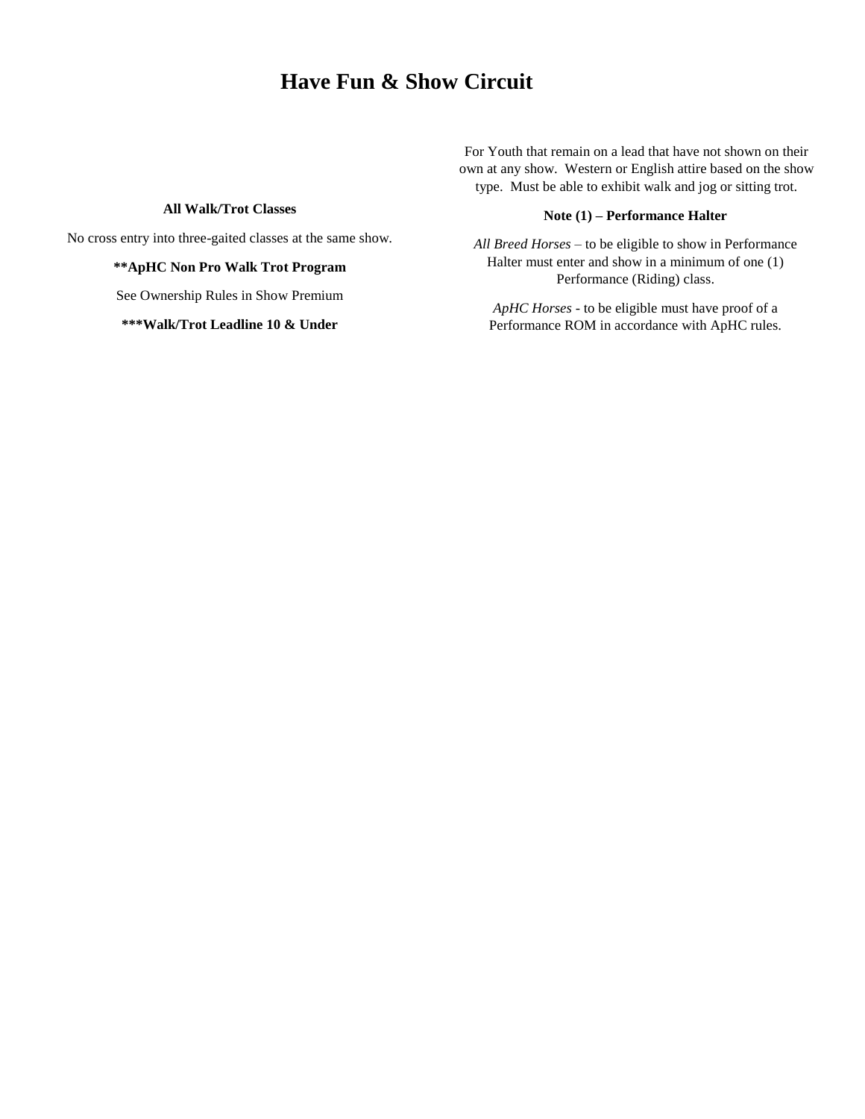## **Have Fun & Show Circuit**

**All Walk/Trot Classes**

No cross entry into three-gaited classes at the same show.

**\*\*ApHC Non Pro Walk Trot Program** 

See Ownership Rules in Show Premium

**\*\*\*Walk/Trot Leadline 10 & Under**

For Youth that remain on a lead that have not shown on their own at any show. Western or English attire based on the show type. Must be able to exhibit walk and jog or sitting trot.

#### **Note (1) – Performance Halter**

*All Breed Horses* – to be eligible to show in Performance Halter must enter and show in a minimum of one (1) Performance (Riding) class.

*ApHC Horses* - to be eligible must have proof of a Performance ROM in accordance with ApHC rules.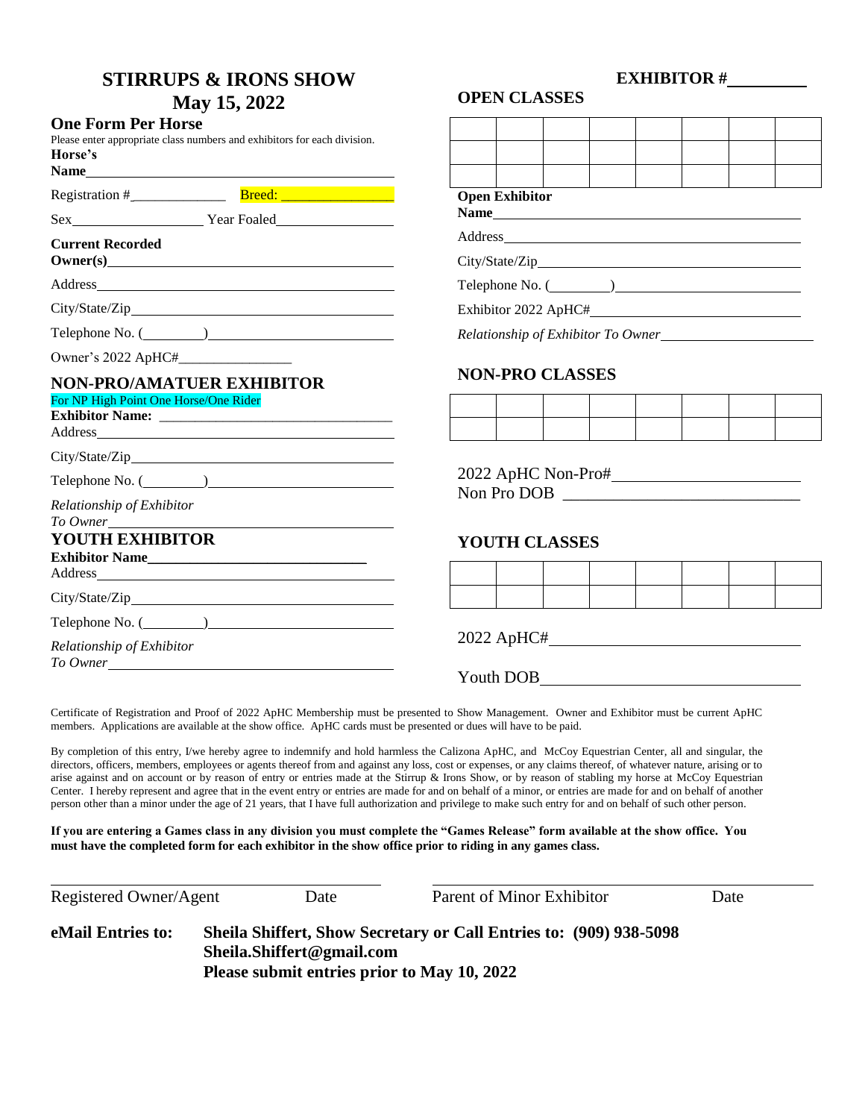| <b>STIRRUPS &amp; IRONS SHOW</b> |
|----------------------------------|
| May 15, 2022                     |

| <b>One Form Per Horse</b>             | Please enter appropriate class numbers and exhibitors for each division.                                                                                                                                                       |           |                                    |                                                                                                  |  |  |  |  |  |
|---------------------------------------|--------------------------------------------------------------------------------------------------------------------------------------------------------------------------------------------------------------------------------|-----------|------------------------------------|--------------------------------------------------------------------------------------------------|--|--|--|--|--|
| Horse's                               |                                                                                                                                                                                                                                |           |                                    |                                                                                                  |  |  |  |  |  |
|                                       |                                                                                                                                                                                                                                |           | <b>Open Exhibitor</b>              |                                                                                                  |  |  |  |  |  |
|                                       | Sex Year Foaled                                                                                                                                                                                                                |           |                                    |                                                                                                  |  |  |  |  |  |
| <b>Current Recorded</b>               |                                                                                                                                                                                                                                |           |                                    |                                                                                                  |  |  |  |  |  |
|                                       | $\text{Owner}(s)$                                                                                                                                                                                                              |           |                                    |                                                                                                  |  |  |  |  |  |
|                                       | Address and the contract of the contract of the contract of the contract of the contract of the contract of the contract of the contract of the contract of the contract of the contract of the contract of the contract of th |           |                                    | $\begin{tabular}{c} Telephone No. ( \hspace{1.5cm} \textcolor{red}{\textbf{2.67}} \end{tabular}$ |  |  |  |  |  |
|                                       |                                                                                                                                                                                                                                |           |                                    | Exhibitor 2022 ApHC#                                                                             |  |  |  |  |  |
|                                       |                                                                                                                                                                                                                                |           | Relationship of Exhibitor To Owner |                                                                                                  |  |  |  |  |  |
|                                       |                                                                                                                                                                                                                                |           |                                    |                                                                                                  |  |  |  |  |  |
|                                       | <b>NON-PRO/AMATUER EXHIBITOR</b>                                                                                                                                                                                               |           |                                    | <b>NON-PRO CLASSES</b>                                                                           |  |  |  |  |  |
| For NP High Point One Horse/One Rider |                                                                                                                                                                                                                                |           |                                    |                                                                                                  |  |  |  |  |  |
|                                       |                                                                                                                                                                                                                                |           |                                    |                                                                                                  |  |  |  |  |  |
|                                       |                                                                                                                                                                                                                                |           |                                    |                                                                                                  |  |  |  |  |  |
| $\text{Telephone No.}$ ( $\qquad$ )   |                                                                                                                                                                                                                                |           |                                    |                                                                                                  |  |  |  |  |  |
| Relationship of Exhibitor<br>To Owner |                                                                                                                                                                                                                                |           |                                    | Non Pro DOB                                                                                      |  |  |  |  |  |
| <b>YOUTH EXHIBITOR</b>                | Exhibitor Name                                                                                                                                                                                                                 |           |                                    | YOUTH CLASSES                                                                                    |  |  |  |  |  |
|                                       |                                                                                                                                                                                                                                |           |                                    |                                                                                                  |  |  |  |  |  |
|                                       |                                                                                                                                                                                                                                |           |                                    |                                                                                                  |  |  |  |  |  |
|                                       |                                                                                                                                                                                                                                |           |                                    |                                                                                                  |  |  |  |  |  |
| Relationship of Exhibitor<br>To Owner |                                                                                                                                                                                                                                |           | $2022$ ApHC#                       |                                                                                                  |  |  |  |  |  |
|                                       |                                                                                                                                                                                                                                | Youth DOB |                                    |                                                                                                  |  |  |  |  |  |

**OPEN CLASSES**

**EXHIBITOR #**

Certificate of Registration and Proof of 2022 ApHC Membership must be presented to Show Management. Owner and Exhibitor must be current ApHC members. Applications are available at the show office. ApHC cards must be presented or dues will have to be paid.

By completion of this entry, I/we hereby agree to indemnify and hold harmless the Calizona ApHC, and McCoy Equestrian Center, all and singular, the directors, officers, members, employees or agents thereof from and against any loss, cost or expenses, or any claims thereof, of whatever nature, arising or to arise against and on account or by reason of entry or entries made at the Stirrup & Irons Show, or by reason of stabling my horse at McCoy Equestrian Center. I hereby represent and agree that in the event entry or entries are made for and on behalf of a minor, or entries are made for and on behalf of another person other than a minor under the age of 21 years, that I have full authorization and privilege to make such entry for and on behalf of such other person.

**If you are entering a Games class in any division you must complete the "Games Release" form available at the show office. You must have the completed form for each exhibitor in the show office prior to riding in any games class.**

| Registered Owner/Agent<br>Date |  |                           | Parent of Minor Exhibitor                                                                                         | Date |
|--------------------------------|--|---------------------------|-------------------------------------------------------------------------------------------------------------------|------|
| eMail Entries to:              |  | Sheila.Shiffert@gmail.com | Sheila Shiffert, Show Secretary or Call Entries to: (909) 938-5098<br>Please submit entries prior to May 10, 2022 |      |